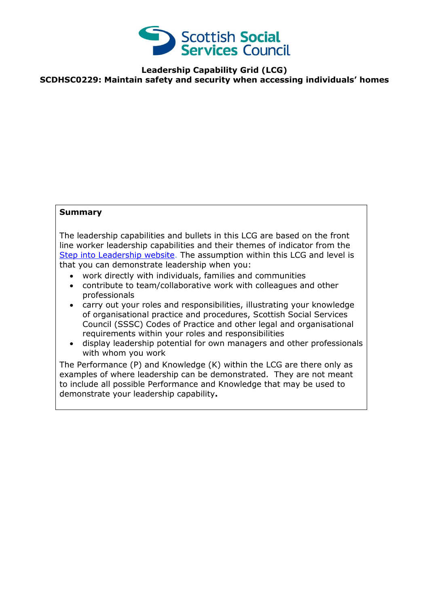

## **Leadership Capability Grid (LCG) SCDHSC0229: Maintain safety and security when accessing individuals' homes**

## **Summary**

The leadership capabilities and bullets in this LCG are based on the front line worker leadership capabilities and their themes of indicator from the [Step into Leadership website.](http://www.stepintoleadership.info/) The assumption within this LCG and level is that you can demonstrate leadership when you:

- work directly with individuals, families and communities
- contribute to team/collaborative work with colleagues and other professionals
- carry out your roles and responsibilities, illustrating your knowledge of organisational practice and procedures, Scottish Social Services Council (SSSC) Codes of Practice and other legal and organisational requirements within your roles and responsibilities
- display leadership potential for own managers and other professionals with whom you work

The Performance (P) and Knowledge (K) within the LCG are there only as examples of where leadership can be demonstrated. They are not meant to include all possible Performance and Knowledge that may be used to demonstrate your leadership capability**.**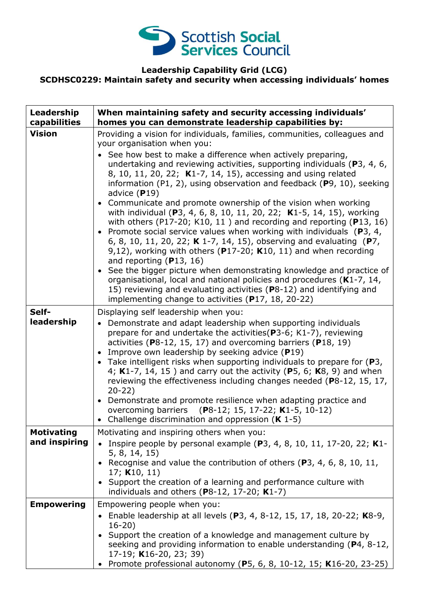

## **Leadership Capability Grid (LCG) SCDHSC0229: Maintain safety and security when accessing individuals' homes**

| Leadership<br>capabilities         | When maintaining safety and security accessing individuals'<br>homes you can demonstrate leadership capabilities by:                                                                                                                                                                                                                                                                                                                                                                                                                                                                                                                                                                                                                                                                                                                                                                                                                                                                                                                                                                                                                                                              |
|------------------------------------|-----------------------------------------------------------------------------------------------------------------------------------------------------------------------------------------------------------------------------------------------------------------------------------------------------------------------------------------------------------------------------------------------------------------------------------------------------------------------------------------------------------------------------------------------------------------------------------------------------------------------------------------------------------------------------------------------------------------------------------------------------------------------------------------------------------------------------------------------------------------------------------------------------------------------------------------------------------------------------------------------------------------------------------------------------------------------------------------------------------------------------------------------------------------------------------|
| <b>Vision</b>                      | Providing a vision for individuals, families, communities, colleagues and<br>your organisation when you:<br>• See how best to make a difference when actively preparing,<br>undertaking and reviewing activities, supporting individuals ( $P_3$ , 4, 6,<br>8, 10, 11, 20, 22; K1-7, 14, 15), accessing and using related<br>information (P1, 2), using observation and feedback (P9, 10), seeking<br>advice $(P19)$<br>• Communicate and promote ownership of the vision when working<br>with individual (P3, 4, 6, 8, 10, 11, 20, 22; K1-5, 14, 15), working<br>with others (P17-20; K10, 11) and recording and reporting (P13, 16)<br>• Promote social service values when working with individuals ( $P_3$ , 4,<br>6, 8, 10, 11, 20, 22; K 1-7, 14, 15), observing and evaluating (P7,<br>9,12), working with others ( $P17-20$ ; K10, 11) and when recording<br>and reporting $(P13, 16)$<br>• See the bigger picture when demonstrating knowledge and practice of<br>organisational, local and national policies and procedures ( $K1-7$ , 14,<br>15) reviewing and evaluating activities (P8-12) and identifying and<br>implementing change to activities (P17, 18, 20-22) |
| Self-<br>leadership                | Displaying self leadership when you:<br>Demonstrate and adapt leadership when supporting individuals<br>$\bullet$<br>prepare for and undertake the activities (P3-6; K1-7), reviewing<br>activities ( $P8-12$ , 15, 17) and overcoming barriers ( $P18$ , 19)<br>• Improve own leadership by seeking advice $(P19)$<br>• Take intelligent risks when supporting individuals to prepare for $(P3,$<br>4; K1-7, 14, 15) and carry out the activity (P5, 6; K8, 9) and when<br>reviewing the effectiveness including changes needed (P8-12, 15, 17,<br>$20-22)$<br>• Demonstrate and promote resilience when adapting practice and<br>overcoming barriers (P8-12; 15, 17-22; K1-5, 10-12)<br>• Challenge discrimination and oppression $(K 1-5)$                                                                                                                                                                                                                                                                                                                                                                                                                                     |
| <b>Motivating</b><br>and inspiring | Motivating and inspiring others when you:<br>• Inspire people by personal example (P3, 4, 8, 10, 11, 17-20, 22; K1-<br>5, 8, 14, 15)<br>• Recognise and value the contribution of others (P3, 4, 6, 8, 10, 11,<br>17; $K10, 11$<br>• Support the creation of a learning and performance culture with<br>individuals and others (P8-12, 17-20; $K1-7$ )                                                                                                                                                                                                                                                                                                                                                                                                                                                                                                                                                                                                                                                                                                                                                                                                                            |
| <b>Empowering</b>                  | Empowering people when you:<br>• Enable leadership at all levels (P3, 4, 8-12, 15, 17, 18, 20-22; K8-9,<br>$16-20)$<br>• Support the creation of a knowledge and management culture by<br>seeking and providing information to enable understanding (P4, 8-12,<br>17-19; K16-20, 23; 39)<br>Promote professional autonomy (P5, 6, 8, 10-12, 15; K16-20, 23-25)                                                                                                                                                                                                                                                                                                                                                                                                                                                                                                                                                                                                                                                                                                                                                                                                                    |